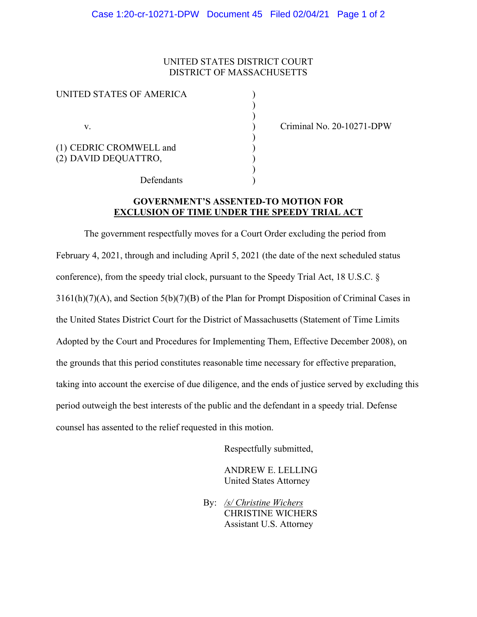## UNITED STATES DISTRICT COURT DISTRICT OF MASSACHUSETTS

) )

| UNITED STATES OF AMERICA |  |
|--------------------------|--|
|                          |  |
|                          |  |
| V.                       |  |
| (1) CEDRIC CROMWELL and  |  |
| (2) DAVID DEQUATTRO,     |  |
| Defendants               |  |

v. ) Criminal No. 20-10271-DPW

## **GOVERNMENT'S ASSENTED-TO MOTION FOR EXCLUSION OF TIME UNDER THE SPEEDY TRIAL ACT**

The government respectfully moves for a Court Order excluding the period from February 4, 2021, through and including April 5, 2021 (the date of the next scheduled status conference), from the speedy trial clock, pursuant to the Speedy Trial Act, 18 U.S.C. § 3161(h)(7)(A), and Section 5(b)(7)(B) of the Plan for Prompt Disposition of Criminal Cases in the United States District Court for the District of Massachusetts (Statement of Time Limits Adopted by the Court and Procedures for Implementing Them, Effective December 2008), on the grounds that this period constitutes reasonable time necessary for effective preparation, taking into account the exercise of due diligence, and the ends of justice served by excluding this period outweigh the best interests of the public and the defendant in a speedy trial. Defense counsel has assented to the relief requested in this motion.

Respectfully submitted,

ANDREW E. LELLING United States Attorney

By: */s/ Christine Wichers* CHRISTINE WICHERS Assistant U.S. Attorney